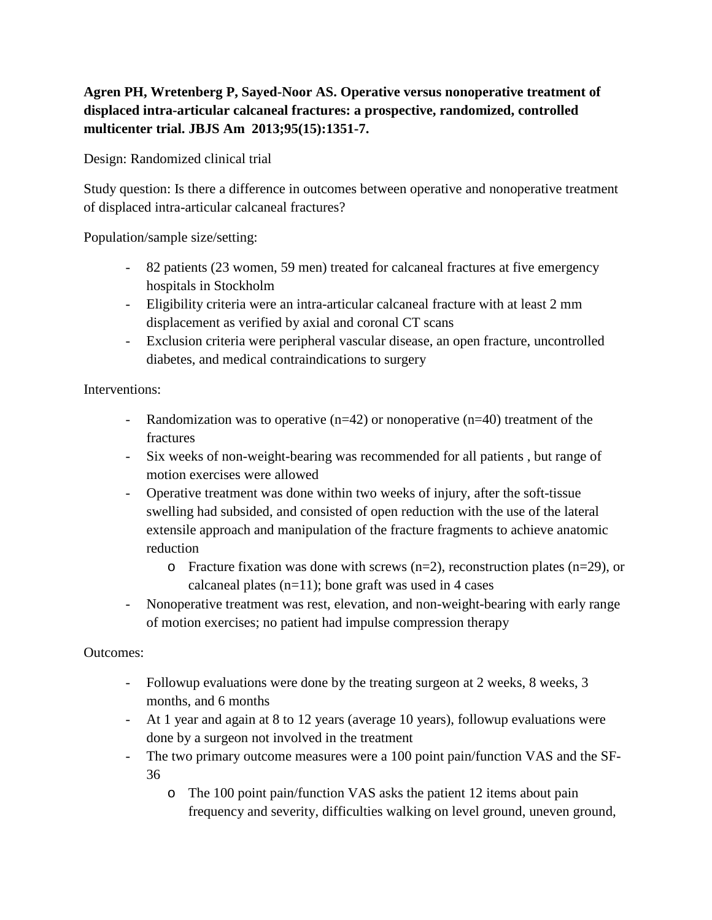## **Agren PH, Wretenberg P, Sayed-Noor AS. Operative versus nonoperative treatment of displaced intra-articular calcaneal fractures: a prospective, randomized, controlled multicenter trial. JBJS Am 2013;95(15):1351-7.**

Design: Randomized clinical trial

Study question: Is there a difference in outcomes between operative and nonoperative treatment of displaced intra-articular calcaneal fractures?

Population/sample size/setting:

- 82 patients (23 women, 59 men) treated for calcaneal fractures at five emergency hospitals in Stockholm
- Eligibility criteria were an intra-articular calcaneal fracture with at least 2 mm displacement as verified by axial and coronal CT scans
- Exclusion criteria were peripheral vascular disease, an open fracture, uncontrolled diabetes, and medical contraindications to surgery

Interventions:

- Randomization was to operative (n=42) or nonoperative (n=40) treatment of the fractures
- Six weeks of non-weight-bearing was recommended for all patients , but range of motion exercises were allowed
- Operative treatment was done within two weeks of injury, after the soft-tissue swelling had subsided, and consisted of open reduction with the use of the lateral extensile approach and manipulation of the fracture fragments to achieve anatomic reduction
	- $\circ$  Fracture fixation was done with screws (n=2), reconstruction plates (n=29), or calcaneal plates  $(n=11)$ ; bone graft was used in 4 cases
- Nonoperative treatment was rest, elevation, and non-weight-bearing with early range of motion exercises; no patient had impulse compression therapy

## Outcomes:

- Followup evaluations were done by the treating surgeon at 2 weeks, 8 weeks, 3 months, and 6 months
- At 1 year and again at 8 to 12 years (average 10 years), followup evaluations were done by a surgeon not involved in the treatment
- The two primary outcome measures were a 100 point pain/function VAS and the SF-36
	- o The 100 point pain/function VAS asks the patient 12 items about pain frequency and severity, difficulties walking on level ground, uneven ground,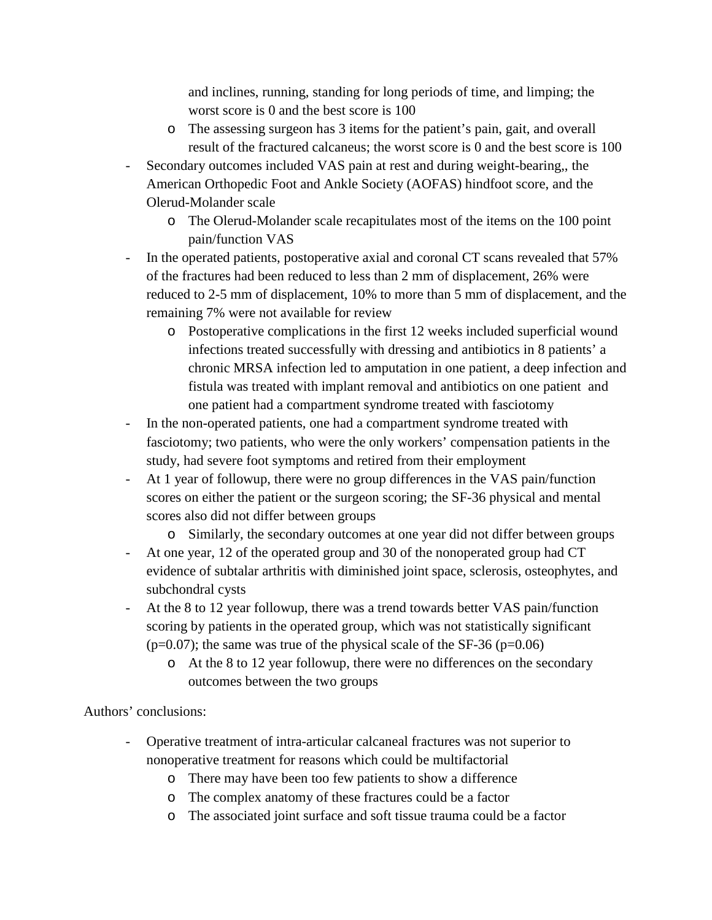and inclines, running, standing for long periods of time, and limping; the worst score is 0 and the best score is 100

- o The assessing surgeon has 3 items for the patient's pain, gait, and overall result of the fractured calcaneus; the worst score is 0 and the best score is 100
- Secondary outcomes included VAS pain at rest and during weight-bearing,, the American Orthopedic Foot and Ankle Society (AOFAS) hindfoot score, and the Olerud-Molander scale
	- o The Olerud-Molander scale recapitulates most of the items on the 100 point pain/function VAS
- In the operated patients, postoperative axial and coronal CT scans revealed that  $57\%$ of the fractures had been reduced to less than 2 mm of displacement, 26% were reduced to 2-5 mm of displacement, 10% to more than 5 mm of displacement, and the remaining 7% were not available for review
	- o Postoperative complications in the first 12 weeks included superficial wound infections treated successfully with dressing and antibiotics in 8 patients' a chronic MRSA infection led to amputation in one patient, a deep infection and fistula was treated with implant removal and antibiotics on one patient and one patient had a compartment syndrome treated with fasciotomy
- In the non-operated patients, one had a compartment syndrome treated with fasciotomy; two patients, who were the only workers' compensation patients in the study, had severe foot symptoms and retired from their employment
- At 1 year of followup, there were no group differences in the VAS pain/function scores on either the patient or the surgeon scoring; the SF-36 physical and mental scores also did not differ between groups

o Similarly, the secondary outcomes at one year did not differ between groups

- At one year, 12 of the operated group and 30 of the nonoperated group had CT evidence of subtalar arthritis with diminished joint space, sclerosis, osteophytes, and subchondral cysts
- At the 8 to 12 year followup, there was a trend towards better VAS pain/function scoring by patients in the operated group, which was not statistically significant  $(p=0.07)$ ; the same was true of the physical scale of the SF-36 (p=0.06)
	- o At the 8 to 12 year followup, there were no differences on the secondary outcomes between the two groups

Authors' conclusions:

- Operative treatment of intra-articular calcaneal fractures was not superior to nonoperative treatment for reasons which could be multifactorial
	- o There may have been too few patients to show a difference
	- o The complex anatomy of these fractures could be a factor
	- o The associated joint surface and soft tissue trauma could be a factor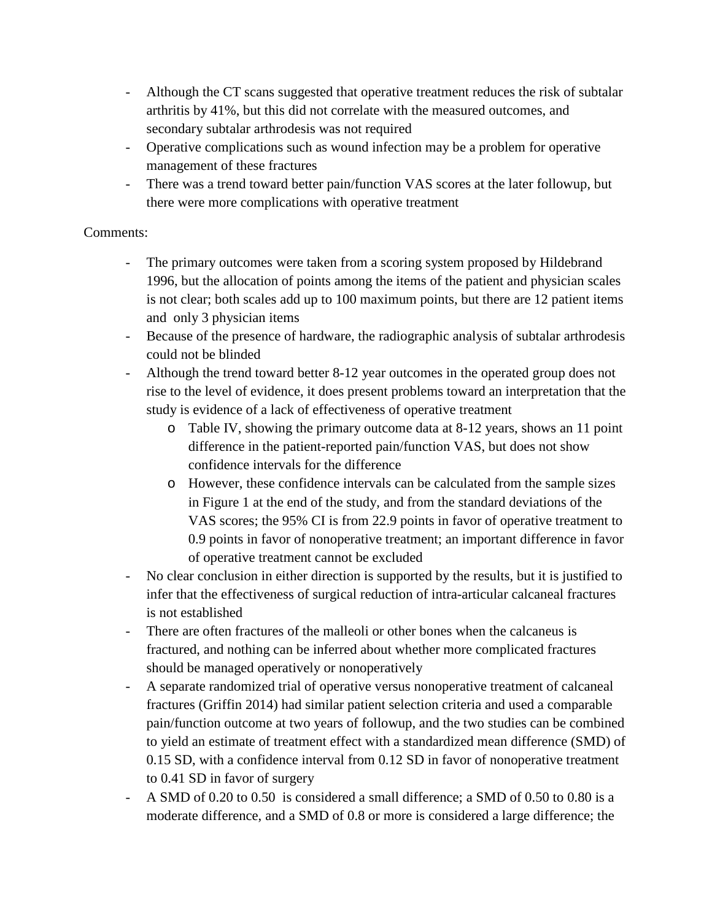- Although the CT scans suggested that operative treatment reduces the risk of subtalar arthritis by 41%, but this did not correlate with the measured outcomes, and secondary subtalar arthrodesis was not required
- Operative complications such as wound infection may be a problem for operative management of these fractures
- There was a trend toward better pain/function VAS scores at the later followup, but there were more complications with operative treatment

## Comments:

- The primary outcomes were taken from a scoring system proposed by Hildebrand 1996, but the allocation of points among the items of the patient and physician scales is not clear; both scales add up to 100 maximum points, but there are 12 patient items and only 3 physician items
- Because of the presence of hardware, the radiographic analysis of subtalar arthrodesis could not be blinded
- Although the trend toward better 8-12 year outcomes in the operated group does not rise to the level of evidence, it does present problems toward an interpretation that the study is evidence of a lack of effectiveness of operative treatment
	- o Table IV, showing the primary outcome data at 8-12 years, shows an 11 point difference in the patient-reported pain/function VAS, but does not show confidence intervals for the difference
	- o However, these confidence intervals can be calculated from the sample sizes in Figure 1 at the end of the study, and from the standard deviations of the VAS scores; the 95% CI is from 22.9 points in favor of operative treatment to 0.9 points in favor of nonoperative treatment; an important difference in favor of operative treatment cannot be excluded
- No clear conclusion in either direction is supported by the results, but it is justified to infer that the effectiveness of surgical reduction of intra-articular calcaneal fractures is not established
- There are often fractures of the malleoli or other bones when the calcaneus is fractured, and nothing can be inferred about whether more complicated fractures should be managed operatively or nonoperatively
- A separate randomized trial of operative versus nonoperative treatment of calcaneal fractures (Griffin 2014) had similar patient selection criteria and used a comparable pain/function outcome at two years of followup, and the two studies can be combined to yield an estimate of treatment effect with a standardized mean difference (SMD) of 0.15 SD, with a confidence interval from 0.12 SD in favor of nonoperative treatment to 0.41 SD in favor of surgery
- A SMD of 0.20 to 0.50 is considered a small difference; a SMD of 0.50 to 0.80 is a moderate difference, and a SMD of 0.8 or more is considered a large difference; the